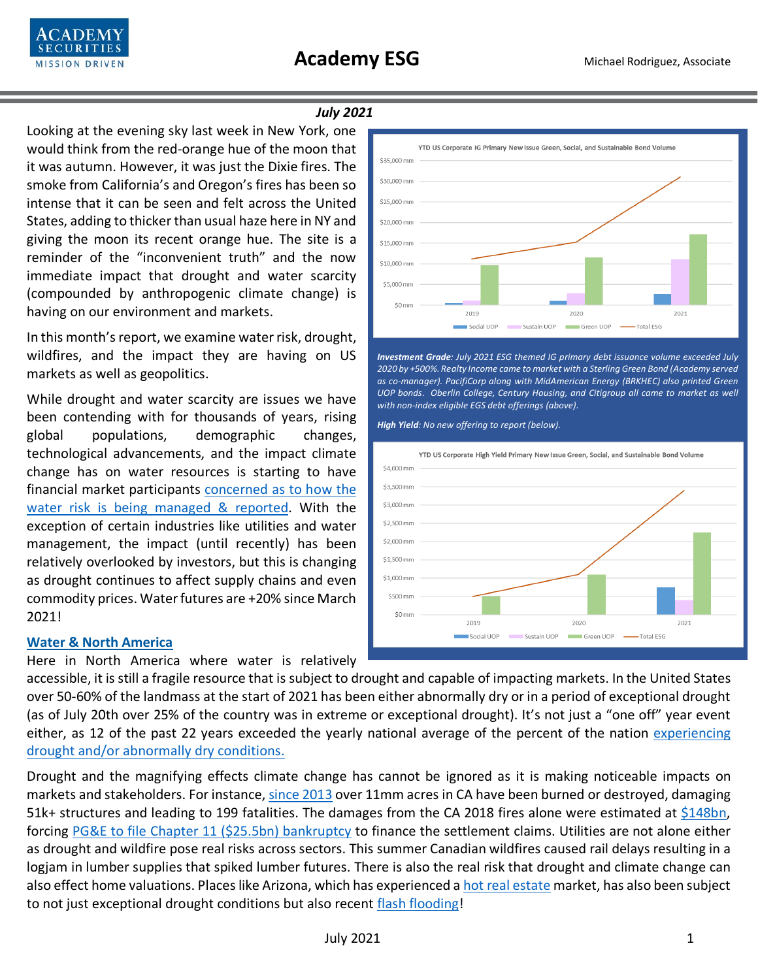

### *July 2021*

Looking at the evening sky last week in New York, one would think from the red-orange hue of the moon that it was autumn. However, it was just the Dixie fires. The smoke from California's and Oregon's fires has been so intense that it can be seen and felt across the United States, adding to thicker than usual haze here in NY and giving the moon its recent orange hue. The site is a reminder of the "inconvenient truth" and the now immediate impact that drought and water scarcity (compounded by anthropogenic climate change) is having on our environment and markets.

In this month's report, we examine water risk, drought, wildfires, and the impact they are having on US markets as well as geopolitics.

While drought and water scarcity are issues we have been contending with for thousands of years, rising global populations, demographic changes, technological advancements, and the impact climate change has on water resources is starting to have financial market participants [concerned as to how the](https://www.cnbc.com/2021/06/29/water-scarcity-why-some-of-the-worlds-biggest-companies-are-worried.html)  [water risk is being managed & reported.](https://www.cnbc.com/2021/06/29/water-scarcity-why-some-of-the-worlds-biggest-companies-are-worried.html) With the exception of certain industries like utilities and water management, the impact (until recently) has been relatively overlooked by investors, but this is changing as drought continues to affect supply chains and even commodity prices. Water futures are +20% since March 2021!

## **Water & North America**

Here in North America where water is relatively

accessible, it is still a fragile resource that is subject to drought and capable of impacting markets. In the United States over 50-60% of the landmass at the start of 2021 has been either abnormally dry or in a period of exceptional drought (as of July 20th over 25% of the country was in extreme or exceptional drought). It's not just a "one off" year event either, as 12 of the past 22 years exceeded the yearly national average of the percent of the nation [experiencing](https://droughtmonitor.unl.edu/DmData/DataTables.aspx)  [drought and/or abnormally dry conditions.](https://droughtmonitor.unl.edu/DmData/DataTables.aspx)

Drought and the magnifying effects climate change has cannot be ignored as it is making noticeable impacts on markets and stakeholders. For instance, [since 2013](https://www.fire.ca.gov/incidents/2018/) over 11mm acres in CA have been burned or destroyed, damaging 51k+ structures and leading to 199 fatalities. The damages from the CA 2018 fires alone were estimated at [\\$148bn,](https://www.nature.com/articles/s41893-020-00646-7) forcing [PG&E to file Chapter 11 \(\\$25.5bn\)](https://www.pge.com/en/about/newsroom/newsdetails/index.page?title=20200620_pge_achieves_bankruptcy_court_confirmation_of_its_plan_of_reorganization) bankruptcy to finance the settlement claims. Utilities are not alone either as drought and wildfire pose real risks across sectors. This summer Canadian wildfires caused rail delays resulting in a logjam in lumber supplies that spiked lumber futures. There is also the real risk that drought and climate change can also effect home valuations. Places like Arizona, which has experienced a [hot real estate](https://www.wsj.com/articles/phoenix-homes-on-track-to-break-record-this-week-as-housing-market-booms-11627218002) market, has also been subject to not just exceptional drought conditions but also recent [flash flooding!](https://www.cnn.com/2021/07/22/weather/arizona-weather-flash-flood-drought/index.html)



*Investment Grade: July 2021 ESG themed IG primary debt issuance volume exceeded July 2020 by +500%. Realty Income came to market with a Sterling Green Bond (Academy served as co-manager). PacifiCorp along with MidAmerican Energy (BRKHEC) also printed Green UOP bonds. Oberlin College, Century Housing, and Citigroup all came to market as well with non-index eligible EGS debt offerings (above).*

*High Yield: No new offering to report (below).*